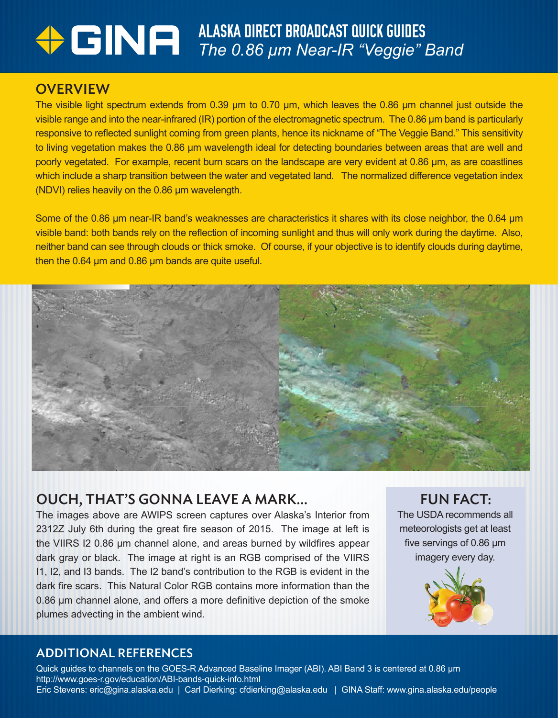# ALASKA DIRECT BROADCAST QUICK GUIDES *The 0.86 µm Near-IR "Veggie" Band*

## **OVERVIEW**

The visible light spectrum extends from 0.39 µm to 0.70 µm, which leaves the 0.86 µm channel just outside the visible range and into the near-infrared (IR) portion of the electromagnetic spectrum. The 0.86 µm band is particularly responsive to reflected sunlight coming from green plants, hence its nickname of "The Veggie Band." This sensitivity to living vegetation makes the 0.86 µm wavelength ideal for detecting boundaries between areas that are well and poorly vegetated. For example, recent burn scars on the landscape are very evident at 0.86 µm, as are coastlines which include a sharp transition between the water and vegetated land. The normalized difference vegetation index (NDVI) relies heavily on the 0.86 µm wavelength.

Some of the 0.86 µm near-IR band's weaknesses are characteristics it shares with its close neighbor, the 0.64 µm visible band: both bands rely on the reflection of incoming sunlight and thus will only work during the daytime. Also, neither band can see through clouds or thick smoke. Of course, if your objective is to identify clouds during daytime, then the 0.64 µm and 0.86 µm bands are quite useful.



### OUCH, THAT'S GONNA LEAVE A MARK…

The images above are AWIPS screen captures over Alaska's Interior from 2312Z July 6th during the great fire season of 2015. The image at left is the VIIRS I2 0.86 µm channel alone, and areas burned by wildfires appear dark gray or black. The image at right is an RGB comprised of the VIIRS I1, I2, and I3 bands. The I2 band's contribution to the RGB is evident in the dark fire scars. This Natural Color RGB contains more information than the 0.86 µm channel alone, and offers a more definitive depiction of the smoke plumes advecting in the ambient wind.

FUN FACT:

The USDA recommends all meteorologists get at least five servings of 0.86 µm imagery every day.



#### ADDITIONAL REFERENCES

Quick guides to channels on the GOES-R Advanced Baseline Imager (ABI). ABI Band 3 is centered at 0.86 µm http://www.goes-r.gov/education/ABI-bands-quick-info.html Eric Stevens: eric@gina.alaska.edu | Carl Dierking: cfdierking@alaska.edu | GINA Staff: www.gina.alaska.edu/people